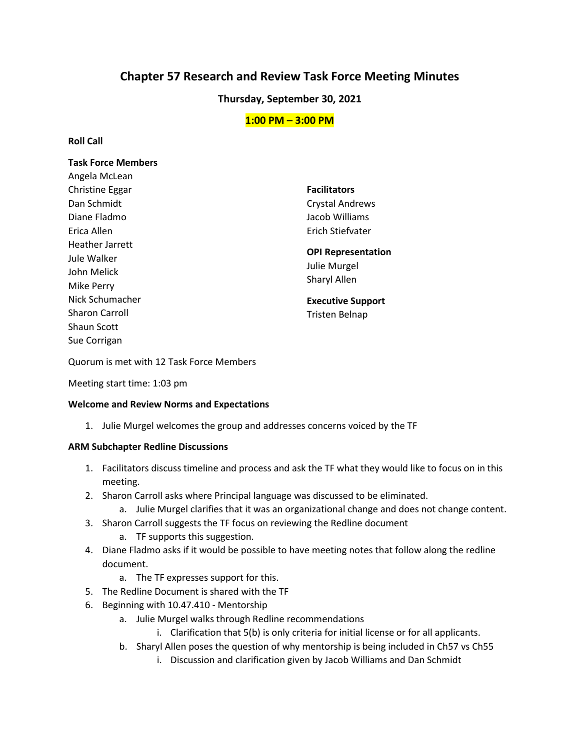# **Chapter 57 Research and Review Task Force Meeting Minutes**

# **Thursday, September 30, 2021**

# **1:00 PM – 3:00 PM**

## **Roll Call**

## **Task Force Members**

**Facilitators**  Crystal Andrews Jacob Williams Erich Stiefvater

**OPI Representation**  Julie Murgel

Sharyl Allen

**Executive Support**  Tristen Belnap

Quorum is met with 12 Task Force Members

Meeting start time: 1:03 pm

### **Welcome and Review Norms and Expectations**

1. Julie Murgel welcomes the group and addresses concerns voiced by the TF

### **ARM Subchapter Redline Discussions**

- 1. Facilitators discuss timeline and process and ask the TF what they would like to focus on in this meeting.
- 2. Sharon Carroll asks where Principal language was discussed to be eliminated.
	- a. Julie Murgel clarifies that it was an organizational change and does not change content.
- 3. Sharon Carroll suggests the TF focus on reviewing the Redline document
	- a. TF supports this suggestion.
- 4. Diane Fladmo asks if it would be possible to have meeting notes that follow along the redline document.
	- a. The TF expresses support for this.
- 5. The Redline Document is shared with the TF
- 6. Beginning with 10.47.410 Mentorship
	- a. Julie Murgel walks through Redline recommendations
		- i. Clarification that 5(b) is only criteria for initial license or for all applicants.
	- b. Sharyl Allen poses the question of why mentorship is being included in Ch57 vs Ch55
		- i. Discussion and clarification given by Jacob Williams and Dan Schmidt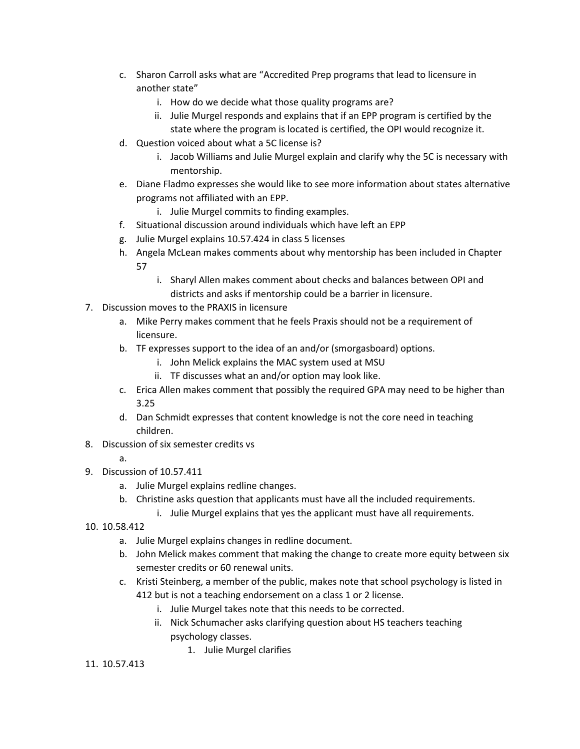- c. Sharon Carroll asks what are "Accredited Prep programs that lead to licensure in another state"
	- i. How do we decide what those quality programs are?
	- ii. Julie Murgel responds and explains that if an EPP program is certified by the state where the program is located is certified, the OPI would recognize it.
- d. Question voiced about what a 5C license is?
	- i. Jacob Williams and Julie Murgel explain and clarify why the 5C is necessary with mentorship.
- e. Diane Fladmo expresses she would like to see more information about states alternative programs not affiliated with an EPP.
	- i. Julie Murgel commits to finding examples.
- f. Situational discussion around individuals which have left an EPP
- g. Julie Murgel explains 10.57.424 in class 5 licenses
- h. Angela McLean makes comments about why mentorship has been included in Chapter 57
	- i. Sharyl Allen makes comment about checks and balances between OPI and districts and asks if mentorship could be a barrier in licensure.
- 7. Discussion moves to the PRAXIS in licensure
	- a. Mike Perry makes comment that he feels Praxis should not be a requirement of licensure.
	- b. TF expresses support to the idea of an and/or (smorgasboard) options.
		- i. John Melick explains the MAC system used at MSU
		- ii. TF discusses what an and/or option may look like.
	- c. Erica Allen makes comment that possibly the required GPA may need to be higher than 3.25
	- d. Dan Schmidt expresses that content knowledge is not the core need in teaching children.
- 8. Discussion of six semester credits vs
	- a.
- 9. Discussion of 10.57.411
	- a. Julie Murgel explains redline changes.
	- b. Christine asks question that applicants must have all the included requirements.
		- i. Julie Murgel explains that yes the applicant must have all requirements.
- 10. 10.58.412
	- a. Julie Murgel explains changes in redline document.
	- b. John Melick makes comment that making the change to create more equity between six semester credits or 60 renewal units.
	- c. Kristi Steinberg, a member of the public, makes note that school psychology is listed in 412 but is not a teaching endorsement on a class 1 or 2 license.
		- i. Julie Murgel takes note that this needs to be corrected.
		- ii. Nick Schumacher asks clarifying question about HS teachers teaching psychology classes.
			- 1. Julie Murgel clarifies

### 11. 10.57.413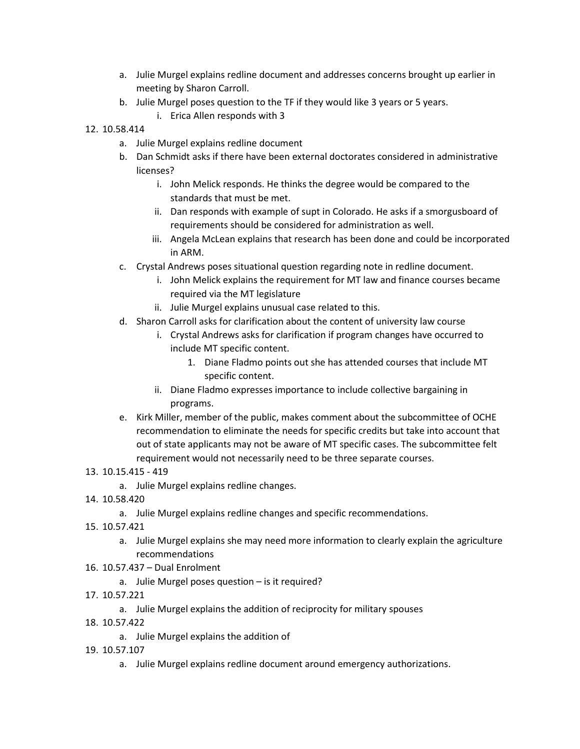- a. Julie Murgel explains redline document and addresses concerns brought up earlier in meeting by Sharon Carroll.
- b. Julie Murgel poses question to the TF if they would like 3 years or 5 years.
	- i. Erica Allen responds with 3
- 12. 10.58.414
	- a. Julie Murgel explains redline document
	- b. Dan Schmidt asks if there have been external doctorates considered in administrative licenses?
		- i. John Melick responds. He thinks the degree would be compared to the standards that must be met.
		- ii. Dan responds with example of supt in Colorado. He asks if a smorgusboard of requirements should be considered for administration as well.
		- iii. Angela McLean explains that research has been done and could be incorporated in ARM.
	- c. Crystal Andrews poses situational question regarding note in redline document.
		- i. John Melick explains the requirement for MT law and finance courses became required via the MT legislature
		- ii. Julie Murgel explains unusual case related to this.
	- d. Sharon Carroll asks for clarification about the content of university law course
		- i. Crystal Andrews asks for clarification if program changes have occurred to include MT specific content.
			- 1. Diane Fladmo points out she has attended courses that include MT specific content.
		- ii. Diane Fladmo expresses importance to include collective bargaining in programs.
	- e. Kirk Miller, member of the public, makes comment about the subcommittee of OCHE recommendation to eliminate the needs for specific credits but take into account that out of state applicants may not be aware of MT specific cases. The subcommittee felt requirement would not necessarily need to be three separate courses.
- 13. 10.15.415 419
	- a. Julie Murgel explains redline changes.
- 14. 10.58.420
	- a. Julie Murgel explains redline changes and specific recommendations.
- 15. 10.57.421
	- a. Julie Murgel explains she may need more information to clearly explain the agriculture recommendations
- 16. 10.57.437 Dual Enrolment
	- a. Julie Murgel poses question is it required?
- 17. 10.57.221
	- a. Julie Murgel explains the addition of reciprocity for military spouses
- 18. 10.57.422
	- a. Julie Murgel explains the addition of
- 19. 10.57.107
	- a. Julie Murgel explains redline document around emergency authorizations.